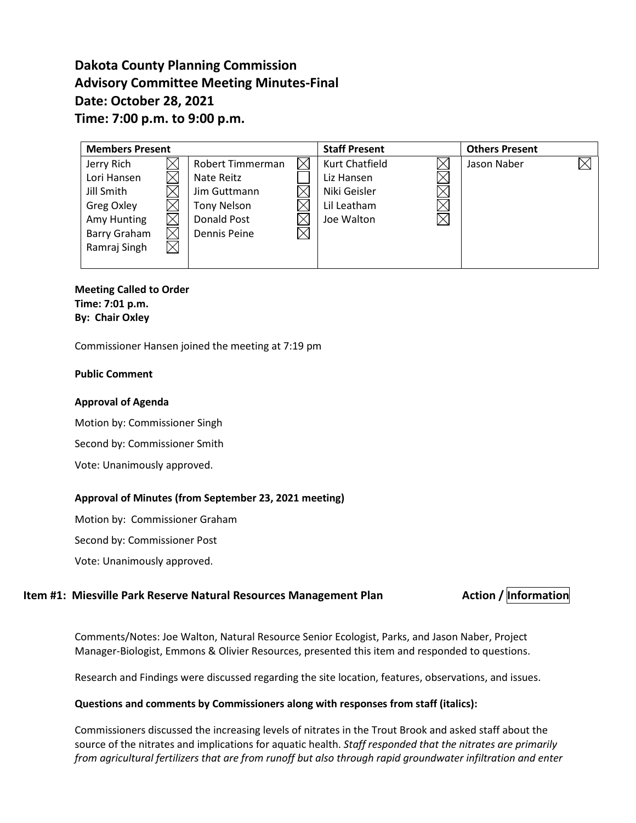# **Dakota County Planning Commission Advisory Committee Meeting Minutes-Final Date: October 28, 2021 Time: 7:00 p.m. to 9:00 p.m.**

| <b>Members Present</b> |  |                     |  | <b>Staff Present</b>  |  | <b>Others Present</b> |  |
|------------------------|--|---------------------|--|-----------------------|--|-----------------------|--|
| Jerry Rich             |  | Robert Timmerman    |  | <b>Kurt Chatfield</b> |  | Jason Naber           |  |
| Lori Hansen            |  | Nate Reitz          |  | Liz Hansen            |  |                       |  |
| Jill Smith             |  | Jim Guttmann        |  | Niki Geisler          |  |                       |  |
| Greg Oxley             |  | <b>Tony Nelson</b>  |  | Lil Leatham           |  |                       |  |
| Amy Hunting            |  | Donald Post         |  | Joe Walton            |  |                       |  |
| Barry Graham           |  | <b>Dennis Peine</b> |  |                       |  |                       |  |
| Ramraj Singh           |  |                     |  |                       |  |                       |  |
|                        |  |                     |  |                       |  |                       |  |

**Meeting Called to Order Time: 7:01 p.m. By: Chair Oxley**

Commissioner Hansen joined the meeting at 7:19 pm

#### **Public Comment**

#### **Approval of Agenda**

Motion by: Commissioner Singh

Second by: Commissioner Smith

Vote: Unanimously approved.

#### **Approval of Minutes (from September 23, 2021 meeting)**

Motion by: Commissioner Graham

Second by: Commissioner Post

Vote: Unanimously approved.

# **Item #1: Miesville Park Reserve Natural Resources Management Plan Action / Information**

Comments/Notes: Joe Walton, Natural Resource Senior Ecologist, Parks, and Jason Naber, Project Manager-Biologist, Emmons & Olivier Resources, presented this item and responded to questions.

Research and Findings were discussed regarding the site location, features, observations, and issues.

#### **Questions and comments by Commissioners along with responses from staff (italics):**

Commissioners discussed the increasing levels of nitrates in the Trout Brook and asked staff about the source of the nitrates and implications for aquatic health. *Staff responded that the nitrates are primarily from agricultural fertilizers that are from runoff but also through rapid groundwater infiltration and enter*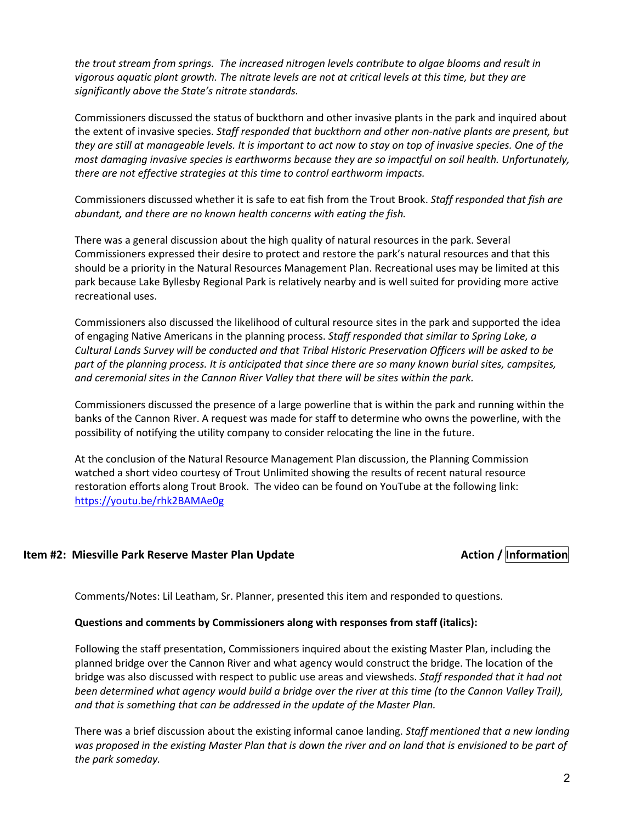*the trout stream from springs. The increased nitrogen levels contribute to algae blooms and result in vigorous aquatic plant growth. The nitrate levels are not at critical levels at this time, but they are significantly above the State's nitrate standards.*

Commissioners discussed the status of buckthorn and other invasive plants in the park and inquired about the extent of invasive species. *Staff responded that buckthorn and other non-native plants are present, but they are still at manageable levels. It is important to act now to stay on top of invasive species. One of the most damaging invasive species is earthworms because they are so impactful on soil health. Unfortunately, there are not effective strategies at this time to control earthworm impacts.*

Commissioners discussed whether it is safe to eat fish from the Trout Brook. *Staff responded that fish are abundant, and there are no known health concerns with eating the fish.*

There was a general discussion about the high quality of natural resources in the park. Several Commissioners expressed their desire to protect and restore the park's natural resources and that this should be a priority in the Natural Resources Management Plan. Recreational uses may be limited at this park because Lake Byllesby Regional Park is relatively nearby and is well suited for providing more active recreational uses.

Commissioners also discussed the likelihood of cultural resource sites in the park and supported the idea of engaging Native Americans in the planning process. *Staff responded that similar to Spring Lake, a Cultural Lands Survey will be conducted and that Tribal Historic Preservation Officers will be asked to be part of the planning process. It is anticipated that since there are so many known burial sites, campsites, and ceremonial sites in the Cannon River Valley that there will be sites within the park.*

Commissioners discussed the presence of a large powerline that is within the park and running within the banks of the Cannon River. A request was made for staff to determine who owns the powerline, with the possibility of notifying the utility company to consider relocating the line in the future.

At the conclusion of the Natural Resource Management Plan discussion, the Planning Commission watched a short video courtesy of Trout Unlimited showing the results of recent natural resource restoration efforts along Trout Brook. The video can be found on YouTube at the following link: <https://youtu.be/rhk2BAMAe0g>

# **Item #2: Miesville Park Reserve Master Plan Update Action / Information**

Comments/Notes: Lil Leatham, Sr. Planner, presented this item and responded to questions.

#### **Questions and comments by Commissioners along with responses from staff (italics):**

Following the staff presentation, Commissioners inquired about the existing Master Plan, including the planned bridge over the Cannon River and what agency would construct the bridge. The location of the bridge was also discussed with respect to public use areas and viewsheds. *Staff responded that it had not been determined what agency would build a bridge over the river at this time (to the Cannon Valley Trail), and that is something that can be addressed in the update of the Master Plan.*

There was a brief discussion about the existing informal canoe landing. *Staff mentioned that a new landing was proposed in the existing Master Plan that is down the river and on land that is envisioned to be part of the park someday.*